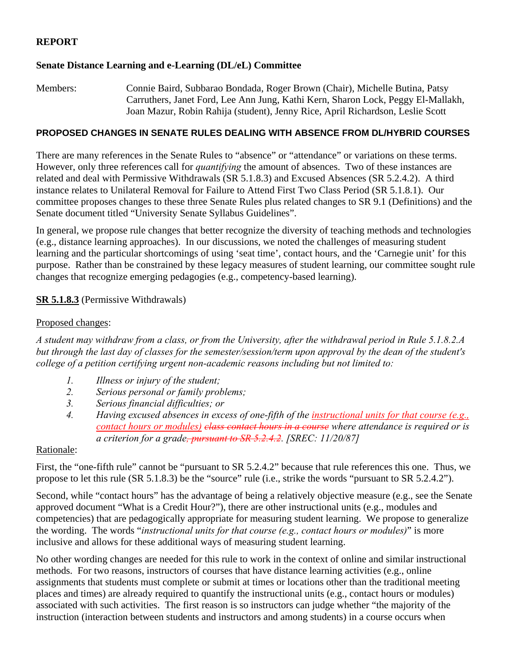#### **REPORT**

#### **Senate Distance Learning and e-Learning (DL/eL) Committee**

Members: Connie Baird, Subbarao Bondada, Roger Brown (Chair), Michelle Butina, Patsy Carruthers, Janet Ford, Lee Ann Jung, Kathi Kern, Sharon Lock, Peggy El-Mallakh, Joan Mazur, Robin Rahija (student), Jenny Rice, April Richardson, Leslie Scott

#### **PROPOSED CHANGES IN SENATE RULES DEALING WITH ABSENCE FROM DL/HYBRID COURSES**

There are many references in the Senate Rules to "absence" or "attendance" or variations on these terms. However, only three references call for *quantifying* the amount of absences. Two of these instances are related and deal with Permissive Withdrawals (SR 5.1.8.3) and Excused Absences (SR 5.2.4.2). A third instance relates to Unilateral Removal for Failure to Attend First Two Class Period (SR 5.1.8.1). Our committee proposes changes to these three Senate Rules plus related changes to SR 9.1 (Definitions) and the Senate document titled "University Senate Syllabus Guidelines".

In general, we propose rule changes that better recognize the diversity of teaching methods and technologies (e.g., distance learning approaches). In our discussions, we noted the challenges of measuring student learning and the particular shortcomings of using 'seat time', contact hours, and the 'Carnegie unit' for this purpose. Rather than be constrained by these legacy measures of student learning, our committee sought rule changes that recognize emerging pedagogies (e.g., competency-based learning).

#### **SR 5.1.8.3** (Permissive Withdrawals)

#### Proposed changes:

*A student may withdraw from a class, or from the University, after the withdrawal period in Rule 5.1.8.2.A but through the last day of classes for the semester/session/term upon approval by the dean of the student's college of a petition certifying urgent non-academic reasons including but not limited to:* 

- *1. Illness or injury of the student;*
- *2. Serious personal or family problems;*
- *3. Serious financial difficulties; or*
- *4. Having excused absences in excess of one-fifth of the instructional units for that course (e.g., contact hours or modules) class contact hours in a course where attendance is required or is a criterion for a grade, pursuant to SR 5.2.4.2. [SREC: 11/20/87]*

#### Rationale:

First, the "one-fifth rule" cannot be "pursuant to SR 5.2.4.2" because that rule references this one. Thus, we propose to let this rule (SR 5.1.8.3) be the "source" rule (i.e., strike the words "pursuant to SR 5.2.4.2").

Second, while "contact hours" has the advantage of being a relatively objective measure (e.g., see the Senate approved document "What is a Credit Hour?"), there are other instructional units (e.g., modules and competencies) that are pedagogically appropriate for measuring student learning. We propose to generalize the wording. The words "*instructional units for that course (e.g., contact hours or modules)*" is more inclusive and allows for these additional ways of measuring student learning.

No other wording changes are needed for this rule to work in the context of online and similar instructional methods. For two reasons, instructors of courses that have distance learning activities (e.g., online assignments that students must complete or submit at times or locations other than the traditional meeting places and times) are already required to quantify the instructional units (e.g., contact hours or modules) associated with such activities. The first reason is so instructors can judge whether "the majority of the instruction (interaction between students and instructors and among students) in a course occurs when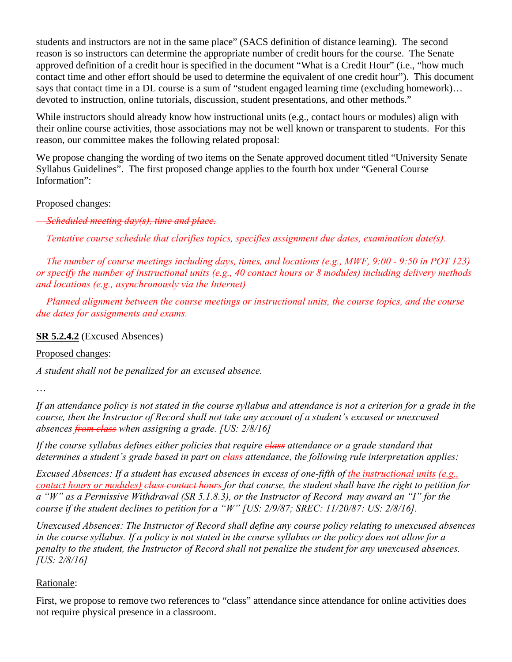students and instructors are not in the same place" (SACS definition of distance learning). The second reason is so instructors can determine the appropriate number of credit hours for the course. The Senate approved definition of a credit hour is specified in the document "What is a Credit Hour" (i.e., "how much contact time and other effort should be used to determine the equivalent of one credit hour"). This document says that contact time in a DL course is a sum of "student engaged learning time (excluding homework)... devoted to instruction, online tutorials, discussion, student presentations, and other methods."

While instructors should already know how instructional units (e.g., contact hours or modules) align with their online course activities, those associations may not be well known or transparent to students. For this reason, our committee makes the following related proposal:

We propose changing the wording of two items on the Senate approved document titled "University Senate Syllabus Guidelines". The first proposed change applies to the fourth box under "General Course Information":

Proposed changes:

 *Scheduled meeting day(s), time and place.* 

 *Tentative course schedule that clarifies topics, specifies assignment due dates, examination date(s).* 

 *The number of course meetings including days, times, and locations (e.g., MWF, 9:00 - 9:50 in POT 123) or specify the number of instructional units (e.g., 40 contact hours or 8 modules) including delivery methods and locations (e.g., asynchronously via the Internet)* 

 *Planned alignment between the course meetings or instructional units, the course topics, and the course due dates for assignments and exams.* 

# **SR 5.2.4.2** (Excused Absences)

Proposed changes:

*A student shall not be penalized for an excused absence.* 

…

If an attendance policy is not stated in the course syllabus and attendance is not a criterion for a grade in the *course, then the Instructor of Record shall not take any account of a student's excused or unexcused absences from class when assigning a grade. [US: 2/8/16]* 

*If the course syllabus defines either policies that require class attendance or a grade standard that determines a student's grade based in part on <del>class</del> attendance, the following rule interpretation applies:* 

*Excused Absences: If a student has excused absences in excess of one-fifth of the instructional units (e.g., contact hours or modules) class contact hours for that course, the student shall have the right to petition for a "W" as a Permissive Withdrawal (SR 5.1.8.3), or the Instructor of Record may award an "I" for the course if the student declines to petition for a "W" [US: 2/9/87; SREC: 11/20/87: US: 2/8/16].* 

*Unexcused Absences: The Instructor of Record shall define any course policy relating to unexcused absences in the course syllabus. If a policy is not stated in the course syllabus or the policy does not allow for a penalty to the student, the Instructor of Record shall not penalize the student for any unexcused absences. [US: 2/8/16]* 

# Rationale:

First, we propose to remove two references to "class" attendance since attendance for online activities does not require physical presence in a classroom.